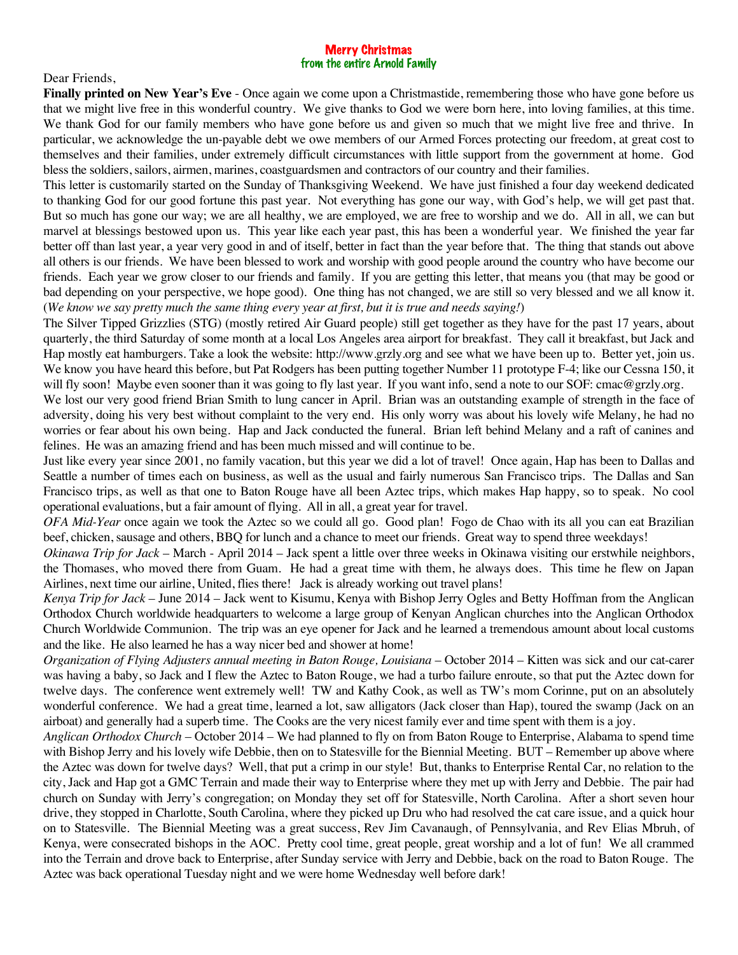## Merry Christmas from the entire Arnold Family

Dear Friends,

**Finally printed on New Year's Eve** - Once again we come upon a Christmastide, remembering those who have gone before us that we might live free in this wonderful country. We give thanks to God we were born here, into loving families, at this time. We thank God for our family members who have gone before us and given so much that we might live free and thrive. In particular, we acknowledge the un-payable debt we owe members of our Armed Forces protecting our freedom, at great cost to themselves and their families, under extremely difficult circumstances with little support from the government at home. God bless the soldiers, sailors, airmen, marines, coastguardsmen and contractors of our country and their families.

This letter is customarily started on the Sunday of Thanksgiving Weekend. We have just finished a four day weekend dedicated to thanking God for our good fortune this past year. Not everything has gone our way, with God's help, we will get past that. But so much has gone our way; we are all healthy, we are employed, we are free to worship and we do. All in all, we can but marvel at blessings bestowed upon us. This year like each year past, this has been a wonderful year. We finished the year far better off than last year, a year very good in and of itself, better in fact than the year before that. The thing that stands out above all others is our friends. We have been blessed to work and worship with good people around the country who have become our friends. Each year we grow closer to our friends and family. If you are getting this letter, that means you (that may be good or bad depending on your perspective, we hope good). One thing has not changed, we are still so very blessed and we all know it. (*We know we say pretty much the same thing every year at first, but it is true and needs saying!*)

The Silver Tipped Grizzlies (STG) (mostly retired Air Guard people) still get together as they have for the past 17 years, about quarterly, the third Saturday of some month at a local Los Angeles area airport for breakfast. They call it breakfast, but Jack and Hap mostly eat hamburgers. Take a look the website: http://www.grzly.org and see what we have been up to. Better yet, join us. We know you have heard this before, but Pat Rodgers has been putting together Number 11 prototype F-4; like our Cessna 150, it will fly soon! Maybe even sooner than it was going to fly last year. If you want info, send a note to our SOF: cmac@grzly.org.

We lost our very good friend Brian Smith to lung cancer in April. Brian was an outstanding example of strength in the face of adversity, doing his very best without complaint to the very end. His only worry was about his lovely wife Melany, he had no worries or fear about his own being. Hap and Jack conducted the funeral. Brian left behind Melany and a raft of canines and felines. He was an amazing friend and has been much missed and will continue to be.

Just like every year since 2001, no family vacation, but this year we did a lot of travel! Once again, Hap has been to Dallas and Seattle a number of times each on business, as well as the usual and fairly numerous San Francisco trips. The Dallas and San Francisco trips, as well as that one to Baton Rouge have all been Aztec trips, which makes Hap happy, so to speak. No cool operational evaluations, but a fair amount of flying. All in all, a great year for travel.

*OFA Mid-Year* once again we took the Aztec so we could all go. Good plan! Fogo de Chao with its all you can eat Brazilian beef, chicken, sausage and others, BBQ for lunch and a chance to meet our friends. Great way to spend three weekdays!

*Okinawa Trip for Jack* – March - April 2014 – Jack spent a little over three weeks in Okinawa visiting our erstwhile neighbors, the Thomases, who moved there from Guam. He had a great time with them, he always does. This time he flew on Japan Airlines, next time our airline, United, flies there! Jack is already working out travel plans!

*Kenya Trip for Jack* – June 2014 – Jack went to Kisumu, Kenya with Bishop Jerry Ogles and Betty Hoffman from the Anglican Orthodox Church worldwide headquarters to welcome a large group of Kenyan Anglican churches into the Anglican Orthodox Church Worldwide Communion. The trip was an eye opener for Jack and he learned a tremendous amount about local customs and the like. He also learned he has a way nicer bed and shower at home!

*Organization of Flying Adjusters annual meeting in Baton Rouge, Louisiana* – October 2014 – Kitten was sick and our cat-carer was having a baby, so Jack and I flew the Aztec to Baton Rouge, we had a turbo failure enroute, so that put the Aztec down for twelve days. The conference went extremely well! TW and Kathy Cook, as well as TW's mom Corinne, put on an absolutely wonderful conference. We had a great time, learned a lot, saw alligators (Jack closer than Hap), toured the swamp (Jack on an airboat) and generally had a superb time. The Cooks are the very nicest family ever and time spent with them is a joy.

*Anglican Orthodox Church* – October 2014 – We had planned to fly on from Baton Rouge to Enterprise, Alabama to spend time with Bishop Jerry and his lovely wife Debbie, then on to Statesville for the Biennial Meeting. BUT – Remember up above where the Aztec was down for twelve days? Well, that put a crimp in our style! But, thanks to Enterprise Rental Car, no relation to the city, Jack and Hap got a GMC Terrain and made their way to Enterprise where they met up with Jerry and Debbie. The pair had church on Sunday with Jerry's congregation; on Monday they set off for Statesville, North Carolina. After a short seven hour drive, they stopped in Charlotte, South Carolina, where they picked up Dru who had resolved the cat care issue, and a quick hour on to Statesville. The Biennial Meeting was a great success, Rev Jim Cavanaugh, of Pennsylvania, and Rev Elias Mbruh, of Kenya, were consecrated bishops in the AOC. Pretty cool time, great people, great worship and a lot of fun! We all crammed into the Terrain and drove back to Enterprise, after Sunday service with Jerry and Debbie, back on the road to Baton Rouge. The Aztec was back operational Tuesday night and we were home Wednesday well before dark!